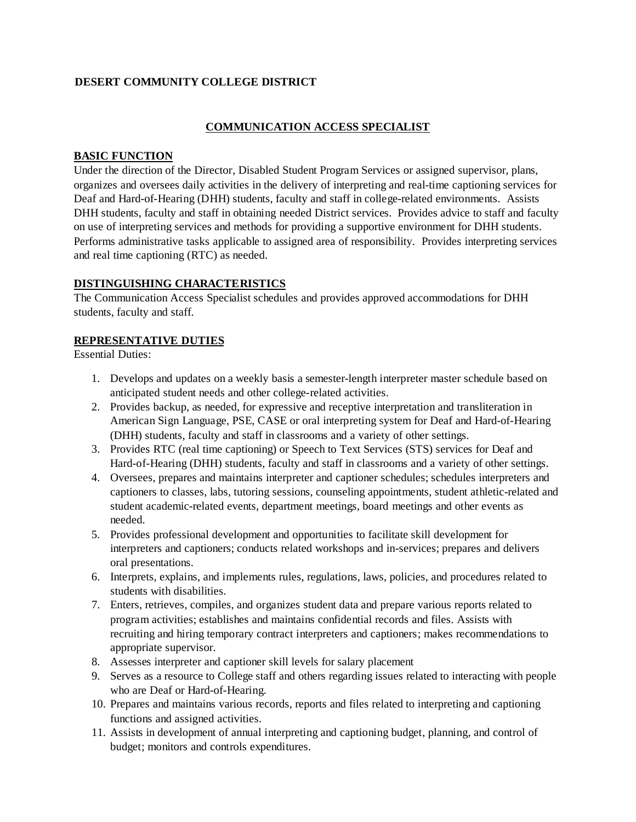## **DESERT COMMUNITY COLLEGE DISTRICT**

## **COMMUNICATION ACCESS SPECIALIST**

#### **BASIC FUNCTION**

Under the direction of the Director, Disabled Student Program Services or assigned supervisor, plans, organizes and oversees daily activities in the delivery of interpreting and real-time captioning services for Deaf and Hard-of-Hearing (DHH) students, faculty and staff in college-related environments. Assists DHH students, faculty and staff in obtaining needed District services. Provides advice to staff and faculty on use of interpreting services and methods for providing a supportive environment for DHH students. Performs administrative tasks applicable to assigned area of responsibility. Provides interpreting services and real time captioning (RTC) as needed.

## **DISTINGUISHING CHARACTERISTICS**

The Communication Access Specialist schedules and provides approved accommodations for DHH students, faculty and staff.

#### **REPRESENTATIVE DUTIES**

Essential Duties:

- 1. Develops and updates on a weekly basis a semester-length interpreter master schedule based on anticipated student needs and other college-related activities.
- 2. Provides backup, as needed, for expressive and receptive interpretation and transliteration in American Sign Language, PSE, CASE or oral interpreting system for Deaf and Hard-of-Hearing (DHH) students, faculty and staff in classrooms and a variety of other settings.
- 3. Provides RTC (real time captioning) or Speech to Text Services (STS) services for Deaf and Hard-of-Hearing (DHH) students, faculty and staff in classrooms and a variety of other settings.
- 4. Oversees, prepares and maintains interpreter and captioner schedules; schedules interpreters and captioners to classes, labs, tutoring sessions, counseling appointments, student athletic-related and student academic-related events, department meetings, board meetings and other events as needed.
- 5. Provides professional development and opportunities to facilitate skill development for interpreters and captioners; conducts related workshops and in-services; prepares and delivers oral presentations.
- 6. Interprets, explains, and implements rules, regulations, laws, policies, and procedures related to students with disabilities.
- 7. Enters, retrieves, compiles, and organizes student data and prepare various reports related to program activities; establishes and maintains confidential records and files. Assists with recruiting and hiring temporary contract interpreters and captioners; makes recommendations to appropriate supervisor.
- 8. Assesses interpreter and captioner skill levels for salary placement
- 9. Serves as a resource to College staff and others regarding issues related to interacting with people who are Deaf or Hard-of-Hearing.
- 10. Prepares and maintains various records, reports and files related to interpreting and captioning functions and assigned activities.
- 11. Assists in development of annual interpreting and captioning budget, planning, and control of budget; monitors and controls expenditures.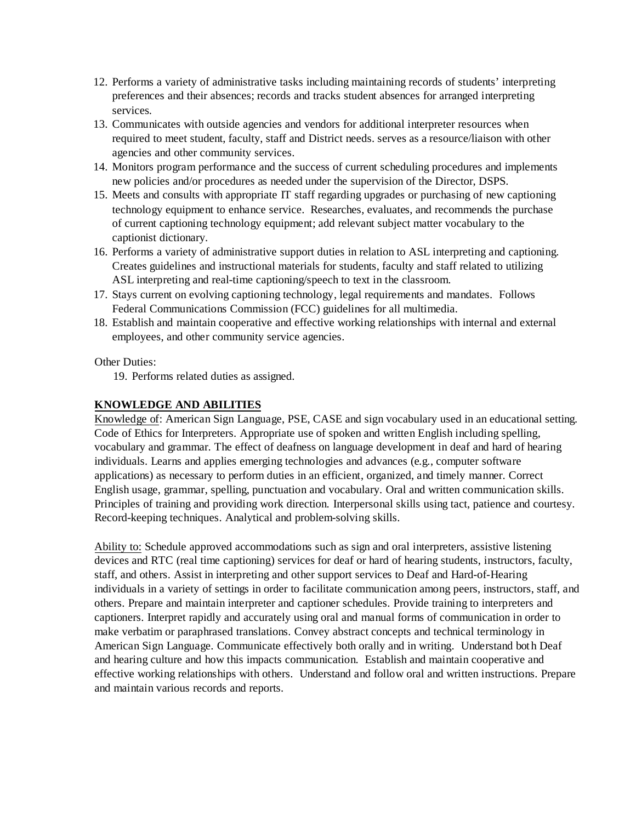- 12. Performs a variety of administrative tasks including maintaining records of students' interpreting preferences and their absences; records and tracks student absences for arranged interpreting services.
- 13. Communicates with outside agencies and vendors for additional interpreter resources when required to meet student, faculty, staff and District needs. serves as a resource/liaison with other agencies and other community services.
- 14. Monitors program performance and the success of current scheduling procedures and implements new policies and/or procedures as needed under the supervision of the Director, DSPS.
- 15. Meets and consults with appropriate IT staff regarding upgrades or purchasing of new captioning technology equipment to enhance service. Researches, evaluates, and recommends the purchase of current captioning technology equipment; add relevant subject matter vocabulary to the captionist dictionary.
- 16. Performs a variety of administrative support duties in relation to ASL interpreting and captioning. Creates guidelines and instructional materials for students, faculty and staff related to utilizing ASL interpreting and real-time captioning/speech to text in the classroom.
- 17. Stays current on evolving captioning technology, legal requirements and mandates. Follows Federal Communications Commission (FCC) guidelines for all multimedia.
- 18. Establish and maintain cooperative and effective working relationships with internal and external employees, and other community service agencies.

#### Other Duties:

19. Performs related duties as assigned.

## **KNOWLEDGE AND ABILITIES**

Knowledge of: American Sign Language, PSE, CASE and sign vocabulary used in an educational setting. Code of Ethics for Interpreters. Appropriate use of spoken and written English including spelling, vocabulary and grammar. The effect of deafness on language development in deaf and hard of hearing individuals. Learns and applies emerging technologies and advances (e.g., computer software applications) as necessary to perform duties in an efficient, organized, and timely manner. Correct English usage, grammar, spelling, punctuation and vocabulary. Oral and written communication skills. Principles of training and providing work direction. Interpersonal skills using tact, patience and courtesy. Record-keeping techniques. Analytical and problem-solving skills.

Ability to: Schedule approved accommodations such as sign and oral interpreters, assistive listening devices and RTC (real time captioning) services for deaf or hard of hearing students, instructors, faculty, staff, and others. Assist in interpreting and other support services to Deaf and Hard-of-Hearing individuals in a variety of settings in order to facilitate communication among peers, instructors, staff, and others. Prepare and maintain interpreter and captioner schedules. Provide training to interpreters and captioners. Interpret rapidly and accurately using oral and manual forms of communication in order to make verbatim or paraphrased translations. Convey abstract concepts and technical terminology in American Sign Language. Communicate effectively both orally and in writing. Understand bot h Deaf and hearing culture and how this impacts communication. Establish and maintain cooperative and effective working relationships with others. Understand and follow oral and written instructions. Prepare and maintain various records and reports.